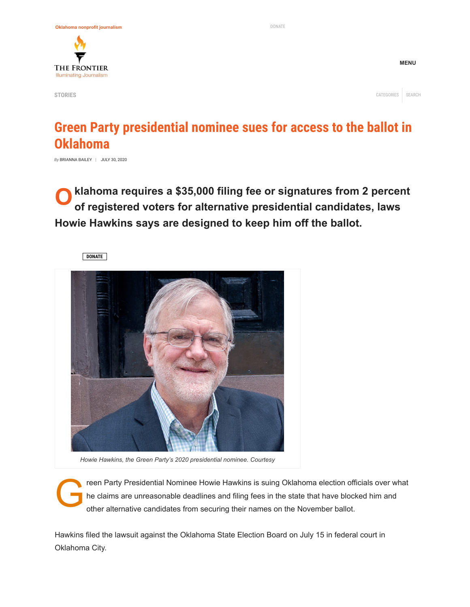

**MENU**

## **Green Party presidential nominee sues for access to the ballot in Oklahoma**

*By* [BRIANNA](https://www.readfrontier.org/author/brianna/) BAILEY | [JULY 30,](https://www.readfrontier.org/stories/green-party-presidential-nominee-sues-for-access-to-the-ballot-in-oklahoma/) 2020

**O** klahoma requires a \$35,000 filing fee or signatures from 2 percent<br>of registered voters for alternative presidential candidates, laws **of registered voters for alternative presidential candidates, laws Howie Hawkins says are designed to keep him off the ballot.**





*Howie Hawkins, the Green Party's 2020 presidential nominee. Courtesy*

reen Party Presidential Nominee Howie Hawkins is suing Oklahoma election officials over what<br>he claims are unreasonable deadlines and filing fees in the state that have blocked him and<br>other alternative candidates from sec he claims are unreasonable deadlines and filing fees in the state that have blocked him and other alternative candidates from securing their names on the November ballot.

Hawkins filed the lawsuit against the Oklahoma State Election Board on July 15 in federal court in Oklahoma City.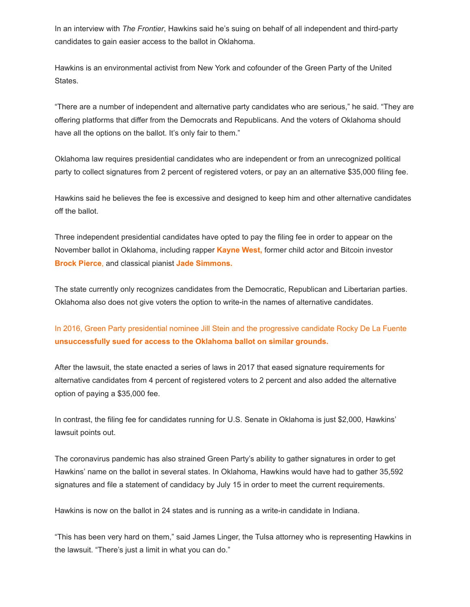In an interview with *The Frontier*, Hawkins said he's suing on behalf of all independent and third-party candidates to gain easier access to the ballot in Oklahoma.

Hawkins is an environmental activist from New York and cofounder of the Green Party of the United States.

"There are a number of independent and alternative party candidates who are serious," he said. "They are offering platforms that differ from the Democrats and Republicans. And the voters of Oklahoma should have all the options on the ballot. It's only fair to them."

Oklahoma law requires presidential candidates who are independent or from an unrecognized political party to collect signatures from 2 percent of registered voters, or pay an an alternative \$35,000 filing fee.

Hawkins said he believes the fee is excessive and designed to keep him and other alternative candidates off the ballot.

Three independent presidential candidates have opted to pay the filing fee in order to appear on the November ballot in Oklahoma, including rapper **[Kayne West](https://www.kanyewest.com/),** former child actor and Bitcoin investor **[Brock Pierce](https://brock.vote/)**, and classical pianist **[Jade Simmons.](https://jadesimmons.com/)**

The state currently only recognizes candidates from the Democratic, Republican and Libertarian parties. Oklahoma also does not give voters the option to write-in the names of alternative candidates.

[In 2016, Green Party presidential nominee Jill Stein and the progressive candidate Rocky De La Fuente](https://oklahoman.com/article/5531425/judge-tosses-lawsuit-challenging-oklahoma-ballot-access) **[unsuccessfully sued for access to the Oklahoma ballot on similar grounds.](https://oklahoman.com/article/5531425/judge-tosses-lawsuit-challenging-oklahoma-ballot-access)**

After the lawsuit, the state enacted a series of laws in 2017 that eased signature requirements for alternative candidates from 4 percent of registered voters to 2 percent and also added the alternative option of paying a \$35,000 fee.

In contrast, the filing fee for candidates running for U.S. Senate in Oklahoma is just \$2,000, Hawkins' lawsuit points out.

The coronavirus pandemic has also strained Green Party's ability to gather signatures in order to get Hawkins' name on the ballot in several states. In Oklahoma, Hawkins would have had to gather 35,592 signatures and file a statement of candidacy by July 15 in order to meet the current requirements.

Hawkins is now on the ballot in 24 states and is running as a write-in candidate in Indiana.

"This has been very hard on them," said James Linger, the Tulsa attorney who is representing Hawkins in the lawsuit. "There's just a limit in what you can do."